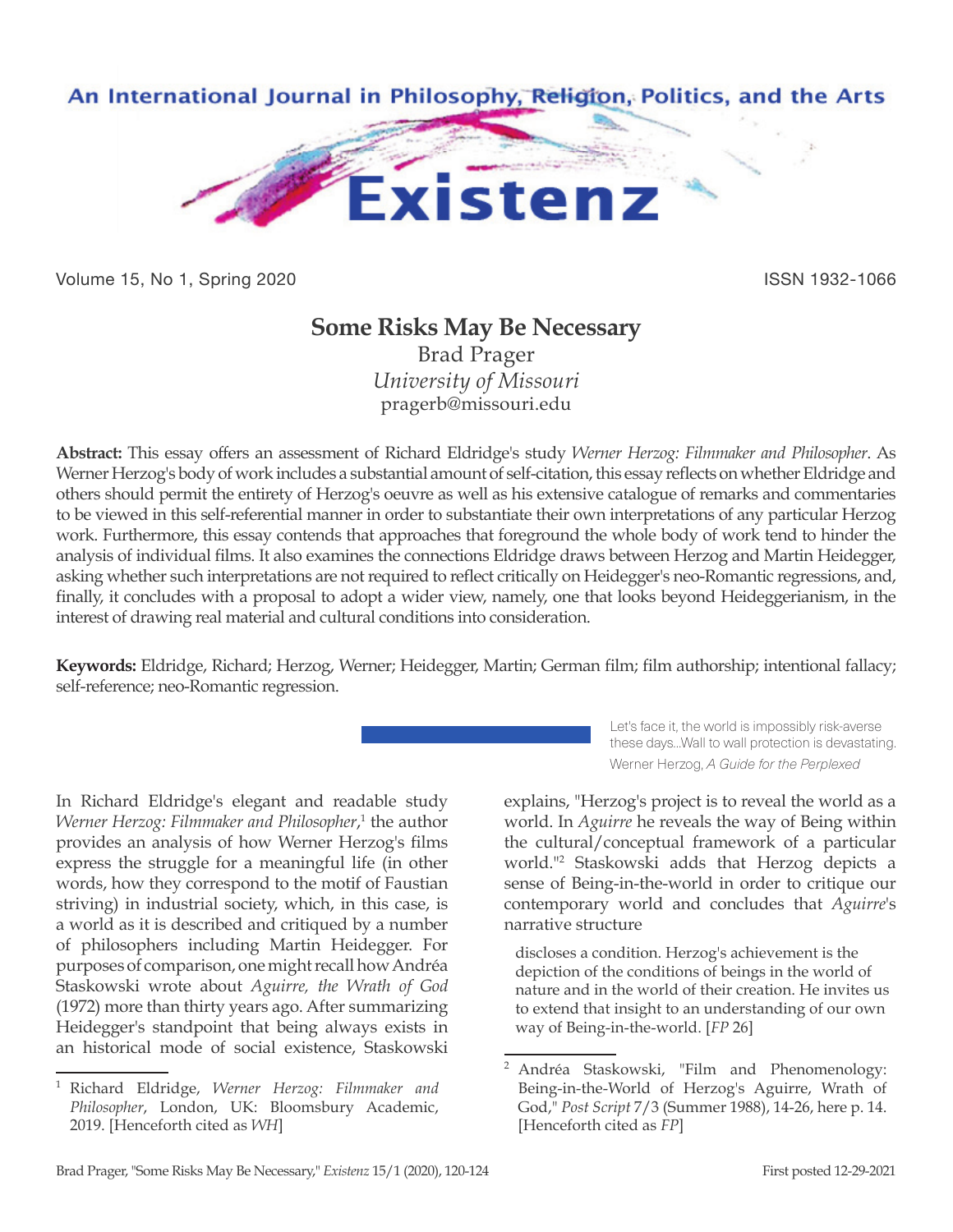

Volume 15, No 1, Spring 2020 **ISSN 1932-1066** 

## **Some Risks May Be Necessary**

Brad Prager *University of Missouri* pragerb@missouri.edu

**Abstract:** This essay offers an assessment of Richard Eldridge's study *Werner Herzog: Filmmaker and Philosopher*. As Werner Herzog's body of work includes a substantial amount of self-citation, this essay reflects on whether Eldridge and others should permit the entirety of Herzog's oeuvre as well as his extensive catalogue of remarks and commentaries to be viewed in this self-referential manner in order to substantiate their own interpretations of any particular Herzog work. Furthermore, this essay contends that approaches that foreground the whole body of work tend to hinder the analysis of individual films. It also examines the connections Eldridge draws between Herzog and Martin Heidegger, asking whether such interpretations are not required to reflect critically on Heidegger's neo-Romantic regressions, and, finally, it concludes with a proposal to adopt a wider view, namely, one that looks beyond Heideggerianism, in the interest of drawing real material and cultural conditions into consideration.

**Keywords:** Eldridge, Richard; Herzog, Werner; Heidegger, Martin; German film; film authorship; intentional fallacy; self-reference; neo-Romantic regression.

Let's face it, the world is impossibly risk-averse these days…Wall to wall protection is devastating. Werner Herzog, *A Guide for the Perplexed*

In Richard Eldridge's elegant and readable study Werner Herzog: Filmmaker and Philosopher,<sup>1</sup> the author provides an analysis of how Werner Herzog's films express the struggle for a meaningful life (in other words, how they correspond to the motif of Faustian striving) in industrial society, which, in this case, is a world as it is described and critiqued by a number of philosophers including Martin Heidegger. For purposes of comparison, one might recall how Andréa Staskowski wrote about *Aguirre, the Wrath of God*  (1972) more than thirty years ago. After summarizing Heidegger's standpoint that being always exists in an historical mode of social existence, Staskowski

explains, "Herzog's project is to reveal the world as a world. In *Aguirre* he reveals the way of Being within the cultural/conceptual framework of a particular world."2 Staskowski adds that Herzog depicts a sense of Being-in-the-world in order to critique our contemporary world and concludes that *Aguirre*'s narrative structure

discloses a condition. Herzog's achievement is the depiction of the conditions of beings in the world of nature and in the world of their creation. He invites us to extend that insight to an understanding of our own way of Being-in-the-world. [*FP* 26]

<sup>1</sup> Richard Eldridge, *Werner Herzog: Filmmaker and Philosopher*, London, UK: Bloomsbury Academic, 2019. [Henceforth cited as *WH*]

<sup>2</sup> Andréa Staskowski, "Film and Phenomenology: Being-in-the-World of Herzog's Aguirre, Wrath of God," *Post Script* 7/3 (Summer 1988), 14-26, here p. 14. [Henceforth cited as *FP*]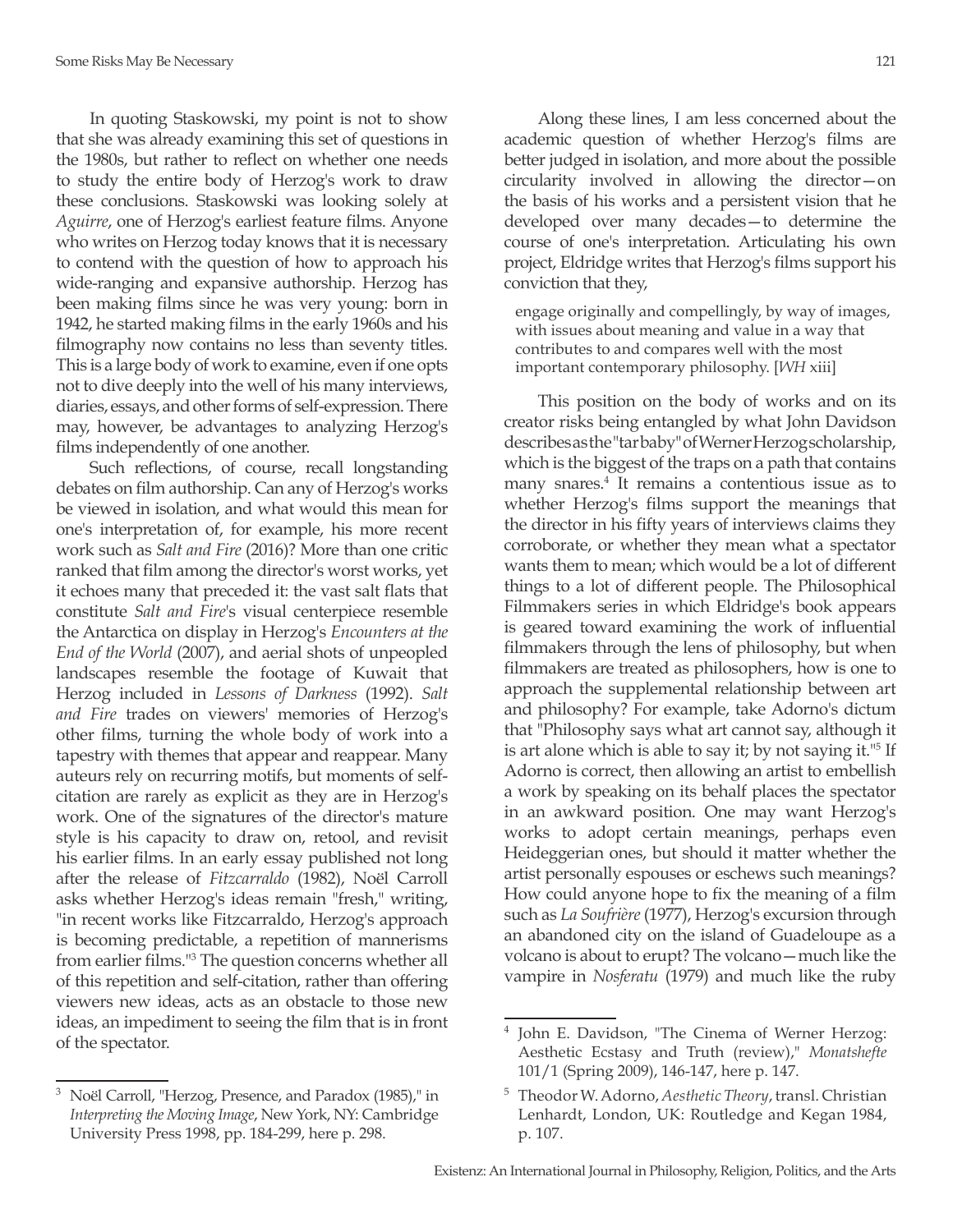In quoting Staskowski, my point is not to show that she was already examining this set of questions in the 1980s, but rather to reflect on whether one needs to study the entire body of Herzog's work to draw these conclusions. Staskowski was looking solely at *Aguirre*, one of Herzog's earliest feature films. Anyone who writes on Herzog today knows that it is necessary to contend with the question of how to approach his wide-ranging and expansive authorship. Herzog has been making films since he was very young: born in 1942, he started making films in the early 1960s and his filmography now contains no less than seventy titles. This is a large body of work to examine, even if one opts not to dive deeply into the well of his many interviews, diaries, essays, and other forms of self-expression. There may, however, be advantages to analyzing Herzog's films independently of one another.

Such reflections, of course, recall longstanding debates on film authorship. Can any of Herzog's works be viewed in isolation, and what would this mean for one's interpretation of, for example, his more recent work such as *Salt and Fire* (2016)? More than one critic ranked that film among the director's worst works, yet it echoes many that preceded it: the vast salt flats that constitute *Salt and Fire*'s visual centerpiece resemble the Antarctica on display in Herzog's *Encounters at the End of the World* (2007), and aerial shots of unpeopled landscapes resemble the footage of Kuwait that Herzog included in *Lessons of Darkness* (1992). *Salt and Fire* trades on viewers' memories of Herzog's other films, turning the whole body of work into a tapestry with themes that appear and reappear. Many auteurs rely on recurring motifs, but moments of selfcitation are rarely as explicit as they are in Herzog's work. One of the signatures of the director's mature style is his capacity to draw on, retool, and revisit his earlier films. In an early essay published not long after the release of *Fitzcarraldo* (1982), Noël Carroll asks whether Herzog's ideas remain "fresh," writing, "in recent works like Fitzcarraldo, Herzog's approach is becoming predictable, a repetition of mannerisms from earlier films."<sup>3</sup> The question concerns whether all of this repetition and self-citation, rather than offering viewers new ideas, acts as an obstacle to those new ideas, an impediment to seeing the film that is in front of the spectator.

<sup>3</sup> Noël Carroll, "Herzog, Presence, and Paradox (1985)," in *Interpreting the Moving Image*, New York, NY: Cambridge University Press 1998, pp. 184-299, here p. 298.

Along these lines, I am less concerned about the academic question of whether Herzog's films are better judged in isolation, and more about the possible circularity involved in allowing the director—on the basis of his works and a persistent vision that he developed over many decades—to determine the course of one's interpretation. Articulating his own project, Eldridge writes that Herzog's films support his conviction that they,

engage originally and compellingly, by way of images, with issues about meaning and value in a way that contributes to and compares well with the most important contemporary philosophy. [*WH* xiii]

This position on the body of works and on its creator risks being entangled by what John Davidson describes as the "tar baby" of Werner Herzog scholarship, which is the biggest of the traps on a path that contains many snares.4 It remains a contentious issue as to whether Herzog's films support the meanings that the director in his fifty years of interviews claims they corroborate, or whether they mean what a spectator wants them to mean; which would be a lot of different things to a lot of different people. The Philosophical Filmmakers series in which Eldridge's book appears is geared toward examining the work of influential filmmakers through the lens of philosophy, but when filmmakers are treated as philosophers, how is one to approach the supplemental relationship between art and philosophy? For example, take Adorno's dictum that "Philosophy says what art cannot say, although it is art alone which is able to say it; by not saying it."5 If Adorno is correct, then allowing an artist to embellish a work by speaking on its behalf places the spectator in an awkward position. One may want Herzog's works to adopt certain meanings, perhaps even Heideggerian ones, but should it matter whether the artist personally espouses or eschews such meanings? How could anyone hope to fix the meaning of a film such as *La Soufrière* (1977), Herzog's excursion through an abandoned city on the island of Guadeloupe as a volcano is about to erupt? The volcano—much like the vampire in *Nosferatu* (1979) and much like the ruby

<sup>4</sup> John E. Davidson, "The Cinema of Werner Herzog: Aesthetic Ecstasy and Truth (review)," *Monatshefte* 101/1 (Spring 2009), 146-147, here p. 147.

<sup>5</sup> Theodor W. Adorno, *Aesthetic Theory*, transl. Christian Lenhardt, London, UK: Routledge and Kegan 1984, p. 107.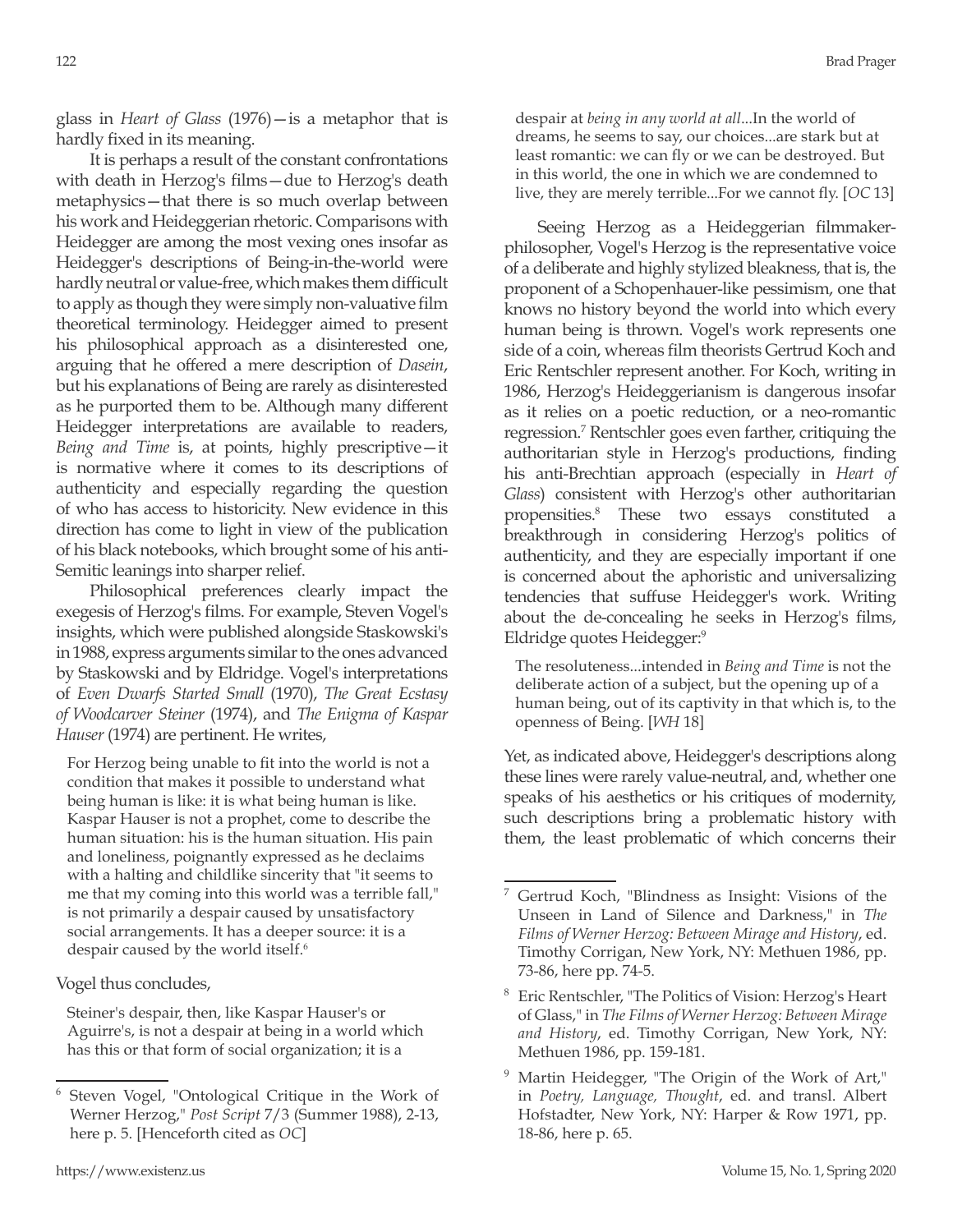glass in *Heart of Glass* (1976)—is a metaphor that is hardly fixed in its meaning.

It is perhaps a result of the constant confrontations with death in Herzog's films—due to Herzog's death metaphysics—that there is so much overlap between his work and Heideggerian rhetoric. Comparisons with Heidegger are among the most vexing ones insofar as Heidegger's descriptions of Being-in-the-world were hardly neutral or value-free, which makes them difficult to apply as though they were simply non-valuative film theoretical terminology. Heidegger aimed to present his philosophical approach as a disinterested one, arguing that he offered a mere description of *Dasein*, but his explanations of Being are rarely as disinterested as he purported them to be. Although many different Heidegger interpretations are available to readers, *Being and Time* is, at points, highly prescriptive—it is normative where it comes to its descriptions of authenticity and especially regarding the question of who has access to historicity. New evidence in this direction has come to light in view of the publication of his black notebooks, which brought some of his anti-Semitic leanings into sharper relief.

Philosophical preferences clearly impact the exegesis of Herzog's films. For example, Steven Vogel's insights, which were published alongside Staskowski's in 1988, express arguments similar to the ones advanced by Staskowski and by Eldridge. Vogel's interpretations of *Even Dwarfs Started Small* (1970), *The Great Ecstasy of Woodcarver Steiner* (1974), and *The Enigma of Kaspar Hauser* (1974) are pertinent. He writes,

For Herzog being unable to fit into the world is not a condition that makes it possible to understand what being human is like: it is what being human is like. Kaspar Hauser is not a prophet, come to describe the human situation: his is the human situation. His pain and loneliness, poignantly expressed as he declaims with a halting and childlike sincerity that "it seems to me that my coming into this world was a terrible fall," is not primarily a despair caused by unsatisfactory social arrangements. It has a deeper source: it is a despair caused by the world itself.<sup>6</sup>

Vogel thus concludes,

Steiner's despair, then, like Kaspar Hauser's or Aguirre's, is not a despair at being in a world which has this or that form of social organization; it is a

despair at *being in any world at all*...In the world of dreams, he seems to say, our choices...are stark but at least romantic: we can fly or we can be destroyed. But in this world, the one in which we are condemned to live, they are merely terrible...For we cannot fly. [*OC* 13]

Seeing Herzog as a Heideggerian filmmakerphilosopher, Vogel's Herzog is the representative voice of a deliberate and highly stylized bleakness, that is, the proponent of a Schopenhauer-like pessimism, one that knows no history beyond the world into which every human being is thrown. Vogel's work represents one side of a coin, whereas film theorists Gertrud Koch and Eric Rentschler represent another. For Koch, writing in 1986, Herzog's Heideggerianism is dangerous insofar as it relies on a poetic reduction, or a neo-romantic regression.7 Rentschler goes even farther, critiquing the authoritarian style in Herzog's productions, finding his anti-Brechtian approach (especially in *Heart of Glass*) consistent with Herzog's other authoritarian propensities.8 These two essays constituted a breakthrough in considering Herzog's politics of authenticity, and they are especially important if one is concerned about the aphoristic and universalizing tendencies that suffuse Heidegger's work. Writing about the de-concealing he seeks in Herzog's films, Eldridge quotes Heidegger:9

The resoluteness...intended in *Being and Time* is not the deliberate action of a subject, but the opening up of a human being, out of its captivity in that which is, to the openness of Being. [*WH* 18]

Yet, as indicated above, Heidegger's descriptions along these lines were rarely value-neutral, and, whether one speaks of his aesthetics or his critiques of modernity, such descriptions bring a problematic history with them, the least problematic of which concerns their

<sup>6</sup> Steven Vogel, "Ontological Critique in the Work of Werner Herzog," *Post Script* 7/3 (Summer 1988), 2-13, here p. 5. [Henceforth cited as *OC*]

<sup>7</sup> Gertrud Koch, "Blindness as Insight: Visions of the Unseen in Land of Silence and Darkness," in *The Films of Werner Herzog: Between Mirage and History*, ed. Timothy Corrigan, New York, NY: Methuen 1986, pp. 73-86, here pp. 74-5.

<sup>8</sup> Eric Rentschler, "The Politics of Vision: Herzog's Heart of Glass," in *The Films of Werner Herzog: Between Mirage and History*, ed. Timothy Corrigan, New York, NY: Methuen 1986, pp. 159-181.

<sup>&</sup>lt;sup>9</sup> Martin Heidegger, "The Origin of the Work of Art," in *Poetry, Language, Thought*, ed. and transl. Albert Hofstadter, New York, NY: Harper & Row 1971, pp. 18-86, here p. 65.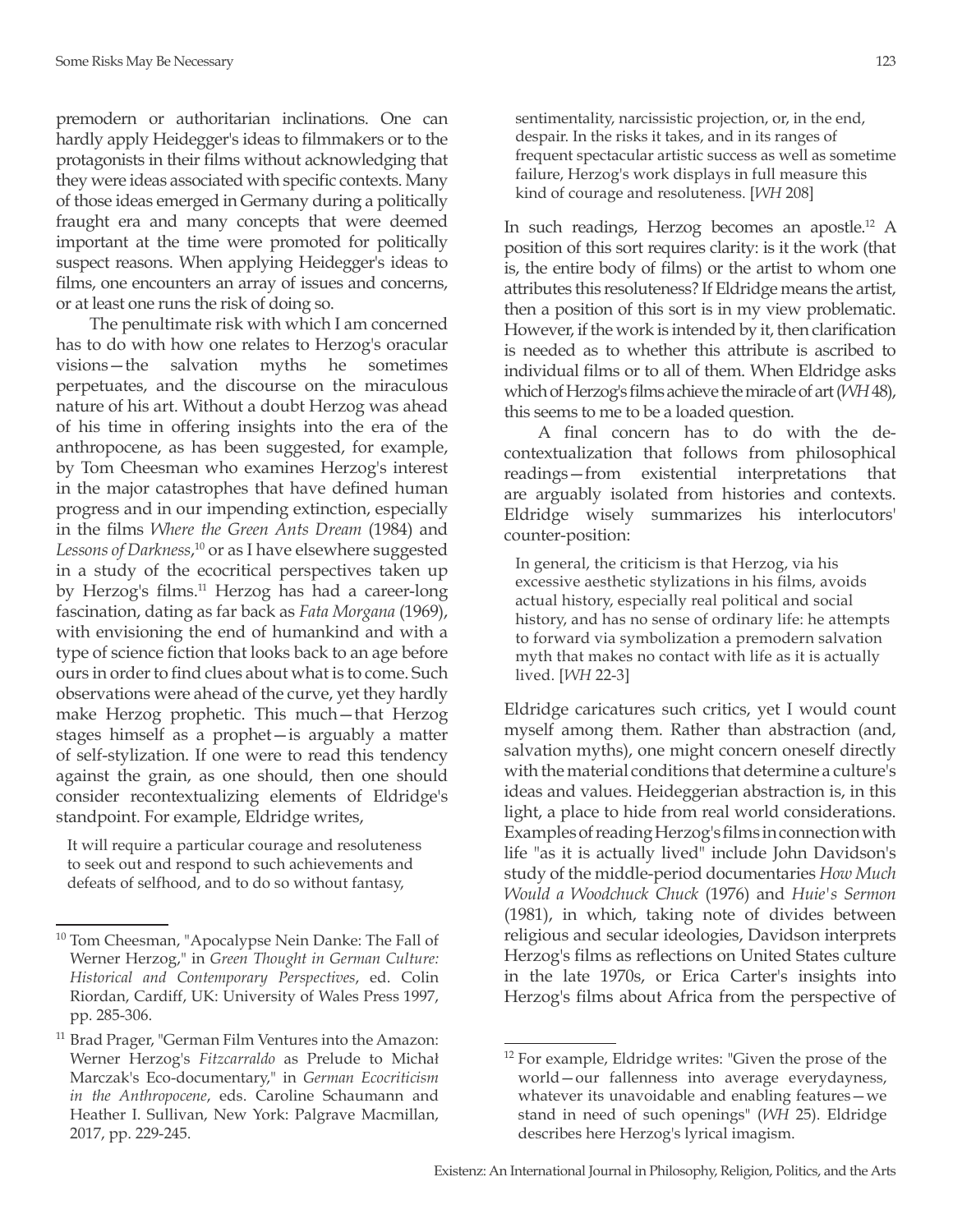premodern or authoritarian inclinations. One can hardly apply Heidegger's ideas to filmmakers or to the protagonists in their films without acknowledging that they were ideas associated with specific contexts. Many of those ideas emerged in Germany during a politically fraught era and many concepts that were deemed important at the time were promoted for politically suspect reasons. When applying Heidegger's ideas to films, one encounters an array of issues and concerns, or at least one runs the risk of doing so.

The penultimate risk with which I am concerned has to do with how one relates to Herzog's oracular visions—the salvation myths he sometimes perpetuates, and the discourse on the miraculous nature of his art. Without a doubt Herzog was ahead of his time in offering insights into the era of the anthropocene, as has been suggested, for example, by Tom Cheesman who examines Herzog's interest in the major catastrophes that have defined human progress and in our impending extinction, especially in the films *Where the Green Ants Dream* (1984) and *Lessons of Darkness*, <sup>10</sup> or as I have elsewhere suggested in a study of the ecocritical perspectives taken up by Herzog's films.<sup>11</sup> Herzog has had a career-long fascination, dating as far back as *Fata Morgana* (1969), with envisioning the end of humankind and with a type of science fiction that looks back to an age before ours in order to find clues about what is to come. Such observations were ahead of the curve, yet they hardly make Herzog prophetic. This much—that Herzog stages himself as a prophet—is arguably a matter of self-stylization. If one were to read this tendency against the grain, as one should, then one should consider recontextualizing elements of Eldridge's standpoint. For example, Eldridge writes,

It will require a particular courage and resoluteness to seek out and respond to such achievements and defeats of selfhood, and to do so without fantasy,

sentimentality, narcissistic projection, or, in the end, despair. In the risks it takes, and in its ranges of frequent spectacular artistic success as well as sometime failure, Herzog's work displays in full measure this kind of courage and resoluteness. [*WH* 208]

In such readings, Herzog becomes an apostle.12 A position of this sort requires clarity: is it the work (that is, the entire body of films) or the artist to whom one attributes this resoluteness? If Eldridge means the artist, then a position of this sort is in my view problematic. However, if the work is intended by it, then clarification is needed as to whether this attribute is ascribed to individual films or to all of them. When Eldridge asks which of Herzog's films achieve the miracle of art (*WH* 48), this seems to me to be a loaded question.

A final concern has to do with the decontextualization that follows from philosophical readings—from existential interpretations that are arguably isolated from histories and contexts. Eldridge wisely summarizes his interlocutors' counter-position:

In general, the criticism is that Herzog, via his excessive aesthetic stylizations in his films, avoids actual history, especially real political and social history, and has no sense of ordinary life: he attempts to forward via symbolization a premodern salvation myth that makes no contact with life as it is actually lived. [*WH* 22-3]

Eldridge caricatures such critics, yet I would count myself among them. Rather than abstraction (and, salvation myths), one might concern oneself directly with the material conditions that determine a culture's ideas and values. Heideggerian abstraction is, in this light, a place to hide from real world considerations. Examples of reading Herzog's films in connection with life "as it is actually lived" include John Davidson's study of the middle-period documentaries *How Much Would a Woodchuck Chuck* (1976) and *Huie's Sermon* (1981), in which, taking note of divides between religious and secular ideologies, Davidson interprets Herzog's films as reflections on United States culture in the late 1970s, or Erica Carter's insights into Herzog's films about Africa from the perspective of

<sup>10</sup> Tom Cheesman, "Apocalypse Nein Danke: The Fall of Werner Herzog," in *Green Thought in German Culture: Historical and Contemporary Perspectives*, ed. Colin Riordan, Cardiff, UK: University of Wales Press 1997, pp. 285-306.

<sup>&</sup>lt;sup>11</sup> Brad Prager, "German Film Ventures into the Amazon: Werner Herzog's *Fitzcarraldo* as Prelude to Michał Marczak's Eco-documentary," in *German Ecocriticism in the Anthropocene*, eds. Caroline Schaumann and Heather I. Sullivan, New York: Palgrave Macmillan, 2017, pp. 229-245.

<sup>12</sup> For example, Eldridge writes: "Given the prose of the world—our fallenness into average everydayness, whatever its unavoidable and enabling features—we stand in need of such openings" (*WH* 25). Eldridge describes here Herzog's lyrical imagism.